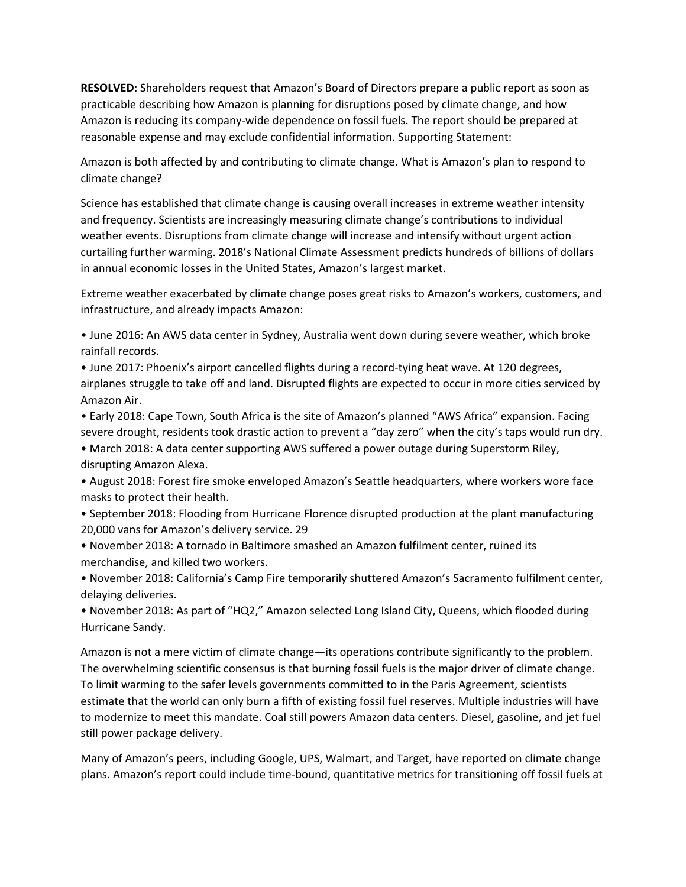**RESOLVED**: Shareholders request that Amazon's Board of Directors prepare a public report as soon as practicable describing how Amazon is planning for disruptions posed by climate change, and how Amazon is reducing its company-wide dependence on fossil fuels. The report should be prepared at reasonable expense and may exclude confidential information. Supporting Statement:

Amazon is both affected by and contributing to climate change. What is Amazon's plan to respond to climate change?

Science has established that climate change is causing overall increases in extreme weather intensity and frequency. Scientists are increasingly measuring climate change's contributions to individual weather events. Disruptions from climate change will increase and intensify without urgent action curtailing further warming. 2018's National Climate Assessment predicts hundreds of billions of dollars in annual economic losses in the United States, Amazon's largest market.

Extreme weather exacerbated by climate change poses great risks to Amazon's workers, customers, and infrastructure, and already impacts Amazon:

• June 2016: An AWS data center in Sydney, Australia went down during severe weather, which broke rainfall records.

• June 2017: Phoenix's airport cancelled flights during a record-tying heat wave. At 120 degrees, airplanes struggle to take off and land. Disrupted flights are expected to occur in more cities serviced by Amazon Air.

• Early 2018: Cape Town, South Africa is the site of Amazon's planned "AWS Africa" expansion. Facing severe drought, residents took drastic action to prevent a "day zero" when the city's taps would run dry.

• March 2018: A data center supporting AWS suffered a power outage during Superstorm Riley, disrupting Amazon Alexa.

• August 2018: Forest fire smoke enveloped Amazon's Seattle headquarters, where workers wore face masks to protect their health.

• September 2018: Flooding from Hurricane Florence disrupted production at the plant manufacturing 20,000 vans for Amazon's delivery service. 29

• November 2018: A tornado in Baltimore smashed an Amazon fulfilment center, ruined its merchandise, and killed two workers.

• November 2018: California's Camp Fire temporarily shuttered Amazon's Sacramento fulfilment center, delaying deliveries.

• November 2018: As part of "HQ2," Amazon selected Long Island City, Queens, which flooded during Hurricane Sandy.

Amazon is not a mere victim of climate change—its operations contribute significantly to the problem. The overwhelming scientific consensus is that burning fossil fuels is the major driver of climate change. To limit warming to the safer levels governments committed to in the Paris Agreement, scientists estimate that the world can only burn a fifth of existing fossil fuel reserves. Multiple industries will have to modernize to meet this mandate. Coal still powers Amazon data centers. Diesel, gasoline, and jet fuel still power package delivery.

Many of Amazon's peers, including Google, UPS, Walmart, and Target, have reported on climate change plans. Amazon's report could include time-bound, quantitative metrics for transitioning off fossil fuels at